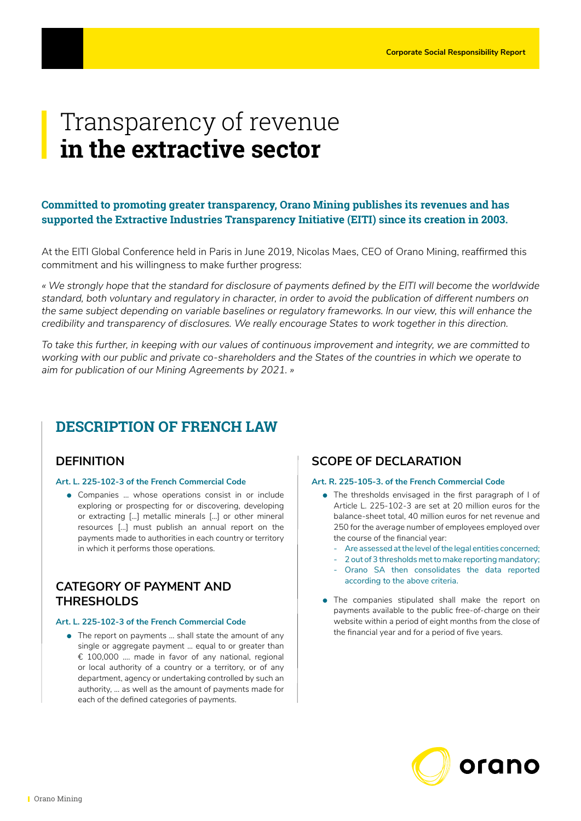# Transparency of revenue **in the extractive sector**

# **Committed to promoting greater transparency, Orano Mining publishes its revenues and has supported the Extractive Industries Transparency Initiative (EITI) since its creation in 2003.**

At the EITI Global Conference held in Paris in June 2019, Nicolas Maes, CEO of Orano Mining, reaffirmed this commitment and his willingness to make further progress:

*« We strongly hope that the standard for disclosure of payments defined by the EITI will become the worldwide standard, both voluntary and regulatory in character, in order to avoid the publication of different numbers on the same subject depending on variable baselines or regulatory frameworks. In our view, this will enhance the credibility and transparency of disclosures. We really encourage States to work together in this direction.* 

*To take this further, in keeping with our values of continuous improvement and integrity, we are committed to working with our public and private co-shareholders and the States of the countries in which we operate to aim for publication of our Mining Agreements by 2021. »*

# **DESCRIPTION OF FRENCH LAW**

## **DEFINITION**

#### **Art. L. 225-102-3 of the French Commercial Code**

**.** Companies ... whose operations consist in or include exploring or prospecting for or discovering, developing or extracting [...] metallic minerals [...] or other mineral resources [...] must publish an annual report on the payments made to authorities in each country or territory in which it performs those operations.

## **CATEGORY OF PAYMENT AND THRESHOLDS**

#### **Art. L. 225-102-3 of the French Commercial Code**

 $\bullet$  The report on payments ... shall state the amount of any single or aggregate payment … equal to or greater than € 100,000 …. made in favor of any national, regional or local authority of a country or a territory, or of any department, agency or undertaking controlled by such an authority, … as well as the amount of payments made for each of the defined categories of payments.

## **SCOPE OF DECLARATION**

#### **Art. R. 225-105-3. of the French Commercial Code**

- The thresholds envisaged in the first paragraph of I of Article L. 225-102-3 are set at 20 million euros for the balance-sheet total, 40 million euros for net revenue and 250 for the average number of employees employed over the course of the financial year:
	- Are assessed at the level of the legal entities concerned;
	- 2 out of 3 thresholds met to make reporting mandatory;
	- Orano SA then consolidates the data reported according to the above criteria.
- The companies stipulated shall make the report on payments available to the public free-of-charge on their website within a period of eight months from the close of the financial year and for a period of five years.

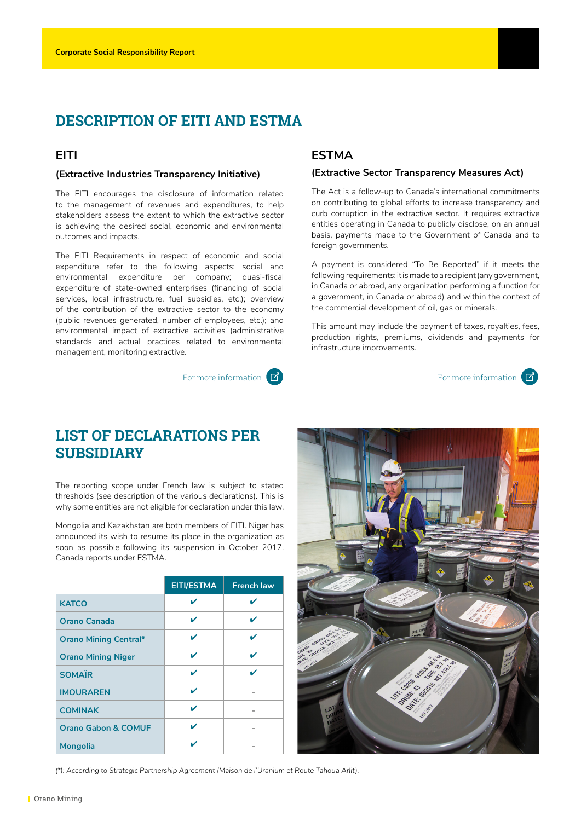# **DESCRIPTION OF EITI AND ESTMA**

# **EITI**

#### **(Extractive Industries Transparency Initiative)**

The EITI encourages the disclosure of information related to the management of revenues and expenditures, to help stakeholders assess the extent to which the extractive sector is achieving the desired social, economic and environmental outcomes and impacts.

The EITI Requirements in respect of economic and social expenditure refer to the following aspects: social and environmental expenditure per company; quasi-fiscal expenditure of state-owned enterprises (financing of social services, local infrastructure, fuel subsidies, etc.); overview of the contribution of the extractive sector to the economy (public revenues generated, number of employees, etc.); and environmental impact of extractive activities (administrative standards and actual practices related to environmental management, monitoring extractive.

# **ESTMA**

#### **(Extractive Sector Transparency Measures Act)**

The Act is a follow-up to Canada's international commitments on contributing to global efforts to increase transparency and curb corruption in the extractive sector. It requires extractive entities operating in Canada to publicly disclose, on an annual basis, payments made to the Government of Canada and to foreign governments.

A payment is considered "To Be Reported" if it meets the following requirements: it is made to a recipient (any government, in Canada or abroad, any organization performing a function for a government, in Canada or abroad) and within the context of the commercial development of oil, gas or minerals.

This amount may include the payment of taxes, royalties, fees, production rights, premiums, dividends and payments for infrastructure improvements.

[For more information](https://www.nrcan.gc.ca/mining-materials/resources/extractive-sector-transparency-measures-act-estma/18180)  $\boxed{7}$ 

# **LIST OF DECLARATIONS PER SUBSIDIARY**

The reporting scope under French law is subject to stated thresholds (see description of the various declarations). This is why some entities are not eligible for declaration under this law.

Mongolia and Kazakhstan are both members of EITI. Niger has announced its wish to resume its place in the organization as soon as possible following its suspension in October 2017. Canada reports under ESTMA.

|                                | <b>EITI/ESTMA</b> | <b>French law</b> |
|--------------------------------|-------------------|-------------------|
| <b>KATCO</b>                   | ✔                 |                   |
| Orano Canada                   | ✔                 | ✔                 |
| <b>Orano Mining Central*</b>   | ✔                 | ✔                 |
| <b>Orano Mining Niger</b>      | ✔                 | ✔                 |
| <b>SOMAÏR</b>                  | ✔                 | ✔                 |
| <b>IMOURAREN</b>               | ✔                 |                   |
| <b>COMINAK</b>                 | ✔                 |                   |
| <b>Orano Gabon &amp; COMUF</b> | v                 |                   |
| <b>Mongolia</b>                |                   |                   |



*(\*): According to Strategic Partnership Agreement (Maison de l'Uranium et Route Tahoua Arlit).*